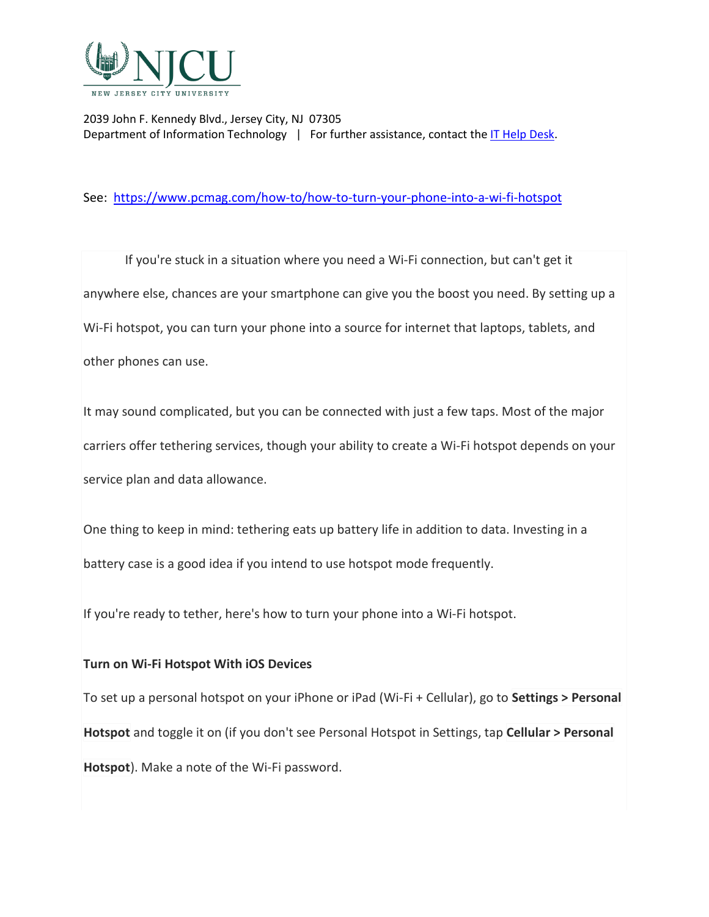

See: <https://www.pcmag.com/how-to/how-to-turn-your-phone-into-a-wi-fi-hotspot>

If you're stuck in a situation where you need a Wi-Fi connection, but can't get it anywhere else, chances are your smartphone can give you the boost you need. By setting up a Wi-Fi hotspot, you can turn your phone into a source for internet that laptops, tablets, and other phones can use.

It may sound complicated, but you can be connected with just a few taps. Most of the major carriers offer tethering services, though your ability to create a Wi-Fi hotspot depends on your service plan and data allowance.

One thing to keep in mind: tethering eats up battery life in addition to data. Investing in a battery case is a good idea if you intend to use hotspot mode frequently.

If you're ready to tether, here's how to turn your phone into a Wi-Fi hotspot.

#### **Turn on Wi-Fi Hotspot With iOS Devices**

To set up a personal hotspot on your iPhone or iPad (Wi-Fi + Cellular), go to **Settings > Personal Hotspot** and toggle it on (if you don't see Personal Hotspot in Settings, tap **Cellular > Personal Hotspot**). Make a note of the Wi-Fi password.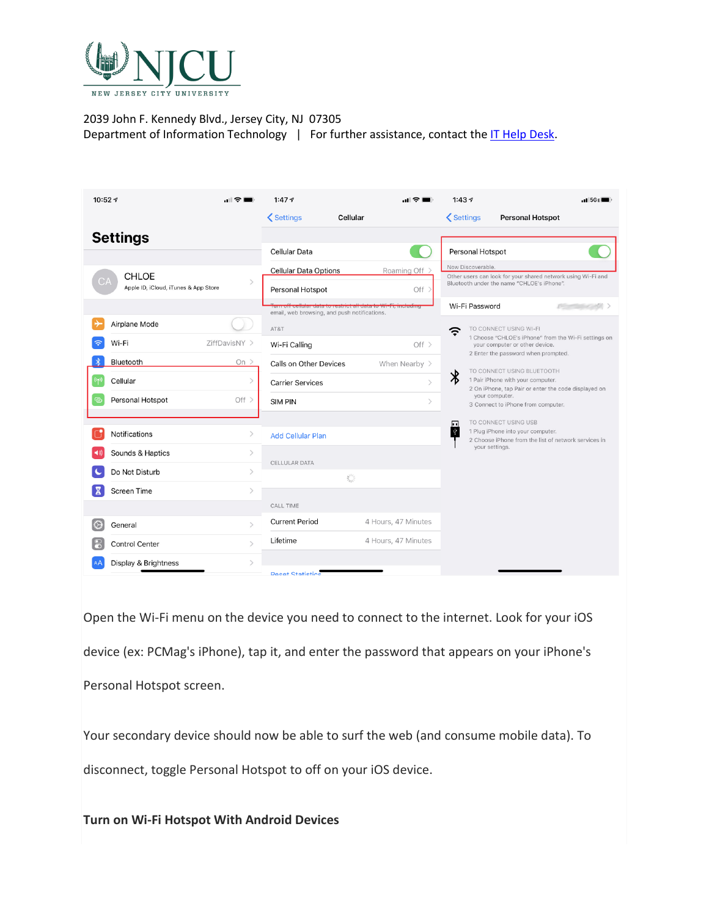

| 10:52 $\tau$<br>. R                                   | 1:477                                                                          | 1:437<br>.15GE<br>I ÷ E                                                                                              |
|-------------------------------------------------------|--------------------------------------------------------------------------------|----------------------------------------------------------------------------------------------------------------------|
|                                                       | <b>くSettings</b><br>Cellular                                                   | <b>くSettings</b><br><b>Personal Hotspot</b>                                                                          |
| <b>Settings</b>                                       |                                                                                |                                                                                                                      |
|                                                       | Cellular Data                                                                  | Personal Hotspot                                                                                                     |
| <b>CHLOE</b>                                          | <b>Cellular Data Options</b>                                                   | Now Discoverable.<br>Roaming Off<br>Other users can look for your shared network using Wi-Fi and                     |
| Apple ID, iCloud, iTunes & App Store                  | Personal Hotspot                                                               | Bluetooth under the name "CHLOE's iPhone".<br>Off >                                                                  |
|                                                       | uata to restrict all uata to W<br>email, web browsing, and push notifications. | Wi-Fi Password<br>$\longrightarrow$<br><b>II, INGRUING</b>                                                           |
| Airplane Mode                                         | AT&T                                                                           | TO CONNECT USING WI-FI<br>ς                                                                                          |
| Wi-Fi<br>ZiffDavisNY ><br>ς                           | Wi-Fi Calling                                                                  | 1 Choose "CHLOE's iPhone" from the Wi-Fi settings on<br>Off ><br>your computer or other device.                      |
| Bluetooth<br>On $>$                                   | Calls on Other Devices                                                         | 2 Enter the password when prompted.<br>When Nearby ><br>TO CONNECT USING BLUETOOTH                                   |
| $(\mathfrak{c}_\dagger)$<br>$\mathcal{P}$<br>Cellular | <b>Carrier Services</b>                                                        | $\ast$<br>1 Pair iPhone with your computer.<br>$\mathcal{P}$<br>2 On iPhone, tap Pair or enter the code displayed on |
| Personal Hotspot<br>Off $>$<br>ල                      | <b>SIM PIN</b>                                                                 | your computer.<br>$\rightarrow$<br>3 Connect to iPhone from computer.                                                |
|                                                       |                                                                                | TO CONNECT USING USB<br>同                                                                                            |
| Notifications<br>$\rightarrow$                        | <b>Add Cellular Plan</b>                                                       | ⊺⊽<br>1 Plug iPhone into your computer.<br>2 Choose iPhone from the list of network services in                      |
| $\rightarrow$<br>Sounds & Haptics                     |                                                                                | your settings.                                                                                                       |
| Do Not Disturb<br>$\mathcal{P}$                       | CELLULAR DATA<br>$\frac{1}{\sigma_{\mu\nu}^{(1)}}$                             |                                                                                                                      |
| Screen Time<br>$\mathcal{E}$                          |                                                                                |                                                                                                                      |
|                                                       | CALL TIME                                                                      |                                                                                                                      |
| $\mathcal{P}$<br>IC)<br>General                       | <b>Current Period</b>                                                          | 4 Hours, 47 Minutes                                                                                                  |
| <b>Control Center</b><br>$\mathcal{P}$                | Lifetime                                                                       | 4 Hours, 47 Minutes                                                                                                  |
| Display & Brightness                                  |                                                                                |                                                                                                                      |
|                                                       | <b>Pacat Statistics</b>                                                        |                                                                                                                      |

Open the Wi-Fi menu on the device you need to connect to the internet. Look for your iOS device (ex: PCMag's iPhone), tap it, and enter the password that appears on your iPhone's Personal Hotspot screen.

Your secondary device should now be able to surf the web (and consume mobile data). To disconnect, toggle Personal Hotspot to off on your iOS device.

**Turn on Wi-Fi Hotspot With Android Devices**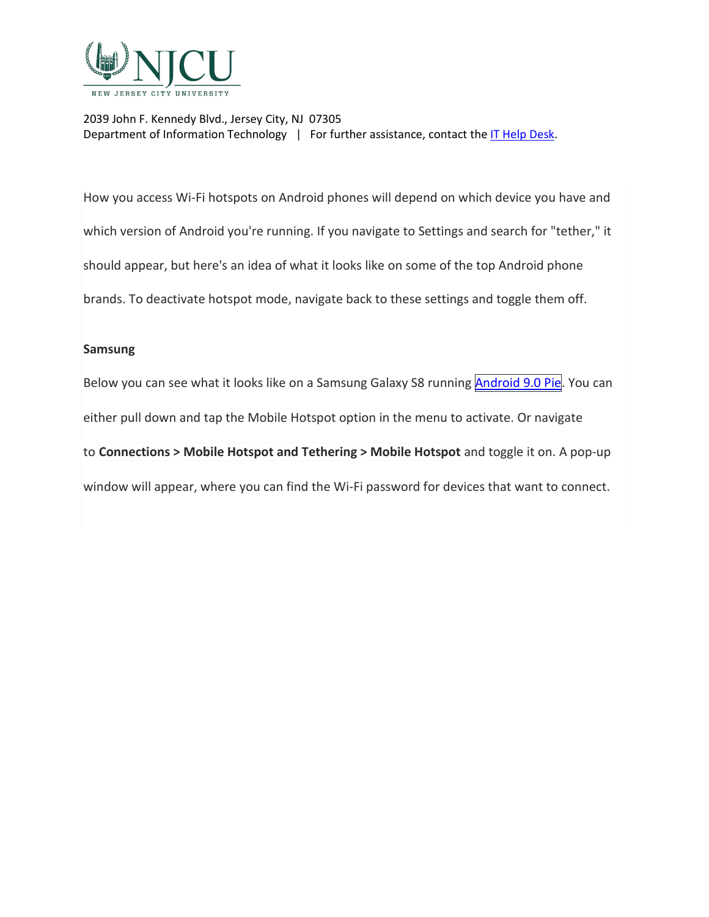

How you access Wi-Fi hotspots on Android phones will depend on which device you have and which version of Android you're running. If you navigate to Settings and search for "tether," it should appear, but here's an idea of what it looks like on some of the top Android phone brands. To deactivate hotspot mode, navigate back to these settings and toggle them off.

#### **Samsung**

Below you can see what it looks like on a Samsung Galaxy S8 running [Android](https://www.pcmag.com/reviews/google-android-pie-90) 9.0 Pie. You can either pull down and tap the Mobile Hotspot option in the menu to activate. Or navigate to **Connections > Mobile Hotspot and Tethering > Mobile Hotspot** and toggle it on. A pop-up window will appear, where you can find the Wi-Fi password for devices that want to connect.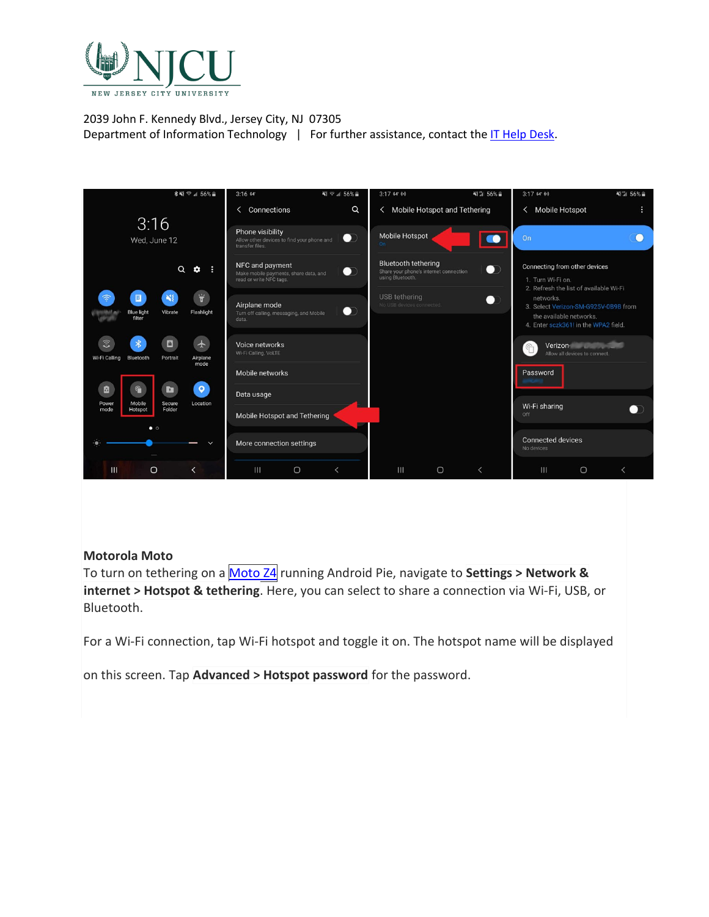

|                                                                                                                          | ∛ ≥ 156%<br>3:16.64                                                                              | <b>NI 3 56% -</b><br>$3:1764$ (4)                                                                     | <b>NEW 56%</b><br>$3:1764$ (a)                                                                                       |
|--------------------------------------------------------------------------------------------------------------------------|--------------------------------------------------------------------------------------------------|-------------------------------------------------------------------------------------------------------|----------------------------------------------------------------------------------------------------------------------|
|                                                                                                                          | Connections<br>$\alpha$<br>≺                                                                     | < Mobile Hotspot and Tethering                                                                        | < Mobile Hotspot                                                                                                     |
| 3:16<br>Wed, June 12                                                                                                     | Phone visibility<br>$\bullet$<br>Allow other devices to find your phone and<br>transfer files.   | Mobile Hotspot<br>$\bullet$<br>On:                                                                    | On                                                                                                                   |
| $\alpha$<br>٠                                                                                                            | NFC and payment<br>$\bullet$<br>Make mobile payments, share data, and<br>read or write NFC tags. | <b>Bluetooth tethering</b><br>$\bullet$<br>Share your phone's internet connection<br>using Bluetooth. | Connecting from other devices<br>1. Turn Wi-Fi on.<br>2. Refresh the list of available Wi-Fi                         |
| $\dddot{\overline{v}}$<br>$\mathbf{N}^{\mathcal{S}}_k$<br>$\Box$<br>Flashlight<br><b>Blue light</b><br>Vibrate<br>filter | Airplane mode<br>$\bullet$<br>Turn off calling, messaging, and Mobile<br>data.                   | USB tethering<br>$\blacksquare$<br>No USB devices connected.                                          | networks.<br>3. Select Verizon-SM-G925V-0B9B from<br>the available networks.<br>4. Enter sczk361! in the WPA2 field. |
| $\widehat{z}$<br>$\ast$<br>$\Box$<br>$\bigstar$<br>Wi-Fi Calling Bluetooth<br>Airplane<br>Portrait<br>mode               | Voice networks<br>Wi-Fi Calling, VoLTE                                                           |                                                                                                       | Verizon<br>$\mathbb{G}$<br>Allow all devices to connect.                                                             |
|                                                                                                                          | Mobile networks                                                                                  |                                                                                                       | Password                                                                                                             |
| $\bullet$<br>₫<br>ħ                                                                                                      | Data usage                                                                                       |                                                                                                       |                                                                                                                      |
| Mobile<br>Location<br>Secure<br>Power<br>Folder<br>mode<br>Hotspot<br>$\bullet$ $\circ$                                  | Mobile Hotspot and Tethering                                                                     |                                                                                                       | Wi-Fi sharing<br>Off                                                                                                 |
|                                                                                                                          | More connection settings                                                                         |                                                                                                       | <b>Connected devices</b><br>No devices                                                                               |
| III<br>$\circ$<br>≺                                                                                                      | III<br>$\cup$<br>$\overline{\left( \right. }%$                                                   | $\mathbf{m}$<br>$\cup$<br>$\overline{\phantom{a}}$                                                    | $\Box$<br>Ш<br>$\overline{\left( \right. }%$                                                                         |

# **Motorola Moto**

To turn on tethering on a [Moto](https://www.pcmag.com/reviews/motorola-moto-z4) Z4 running Android Pie, navigate to **Settings > Network & internet > Hotspot & tethering**. Here, you can select to share a connection via Wi-Fi, USB, or Bluetooth.

For a Wi-Fi connection, tap Wi-Fi hotspot and toggle it on. The hotspot name will be displayed

on this screen. Tap **Advanced > Hotspot password** for the password.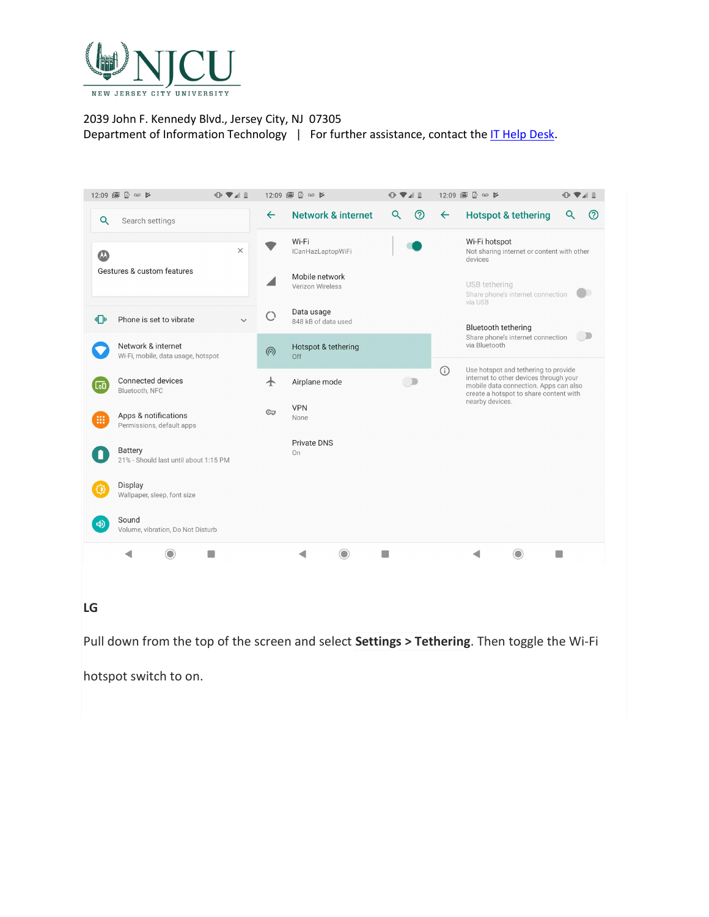

|                 | 12:09 圖 2 ∞ ≱                                            | 中学生          |                    | 12:09 圖 2 ∞ ≱<br>$\mathbb{R}$ $\blacksquare$ |                                                                        | 12:09 ■ 2 00 ₽ |                                                                                                                                                                   | $\mathbb{R}$ $\blacksquare$ |     |
|-----------------|----------------------------------------------------------|--------------|--------------------|----------------------------------------------|------------------------------------------------------------------------|----------------|-------------------------------------------------------------------------------------------------------------------------------------------------------------------|-----------------------------|-----|
| Q               | Search settings                                          |              | $\leftarrow$       | <b>Network &amp; internet</b>                | $\circledR$<br>Q                                                       | $\leftarrow$   | <b>Hotspot &amp; tethering</b>                                                                                                                                    | Q                           | (?) |
| $\mathcal{L}$   | $\times$<br>Gestures & custom features                   |              |                    | Wi-Fi<br>ICanHazLaptopWiFi<br>Mobile network | Wi-Fi hotspot<br>Not sharing internet or content with other<br>devices |                |                                                                                                                                                                   |                             |     |
|                 |                                                          |              |                    | Verizon Wireless                             |                                                                        |                | USB tethering<br>Share phone's internet connection<br>via USB                                                                                                     |                             |     |
| 川川              | Phone is set to vibrate                                  | $\checkmark$ | $\bigcirc$         | Data usage<br>848 kB of data used            |                                                                        |                | Bluetooth tethering<br>$\bigcirc$<br>Share phone's internet connection<br>via Bluetooth                                                                           |                             |     |
|                 | Network & internet<br>Wi-Fi, mobile, data usage, hotspot |              | $\circledS$        | Hotspot & tethering<br>Off                   |                                                                        |                |                                                                                                                                                                   |                             |     |
| $\overline{a}$  | Connected devices<br>Bluetooth, NFC                      |              | $\bm{\downarrow}$  | Airplane mode                                | $\overline{\phantom{a}}$                                               | $\odot$        | Use hotspot and tethering to provide<br>internet to other devices through your<br>mobile data connection. Apps can also<br>create a hotspot to share content with |                             |     |
| :               | Apps & notifications<br>Permissions, default apps        |              | $C_{\overline{u}}$ | <b>VPN</b><br>None                           |                                                                        |                | nearby devices.                                                                                                                                                   |                             |     |
|                 | Battery<br>21% - Should last until about 1:15 PM         |              |                    | <b>Private DNS</b><br>On                     |                                                                        |                |                                                                                                                                                                   |                             |     |
|                 | Display<br>Wallpaper, sleep, font size                   |              |                    |                                              |                                                                        |                |                                                                                                                                                                   |                             |     |
| $\triangleleft$ | Sound<br>Volume, vibration, Do Not Disturb               |              |                    |                                              |                                                                        |                |                                                                                                                                                                   |                             |     |
|                 | ◀                                                        |              |                    |                                              |                                                                        |                |                                                                                                                                                                   |                             |     |
|                 |                                                          |              |                    |                                              |                                                                        |                |                                                                                                                                                                   |                             |     |

# **LG**

Pull down from the top of the screen and select **Settings > Tethering**. Then toggle the Wi-Fi

hotspot switch to on.